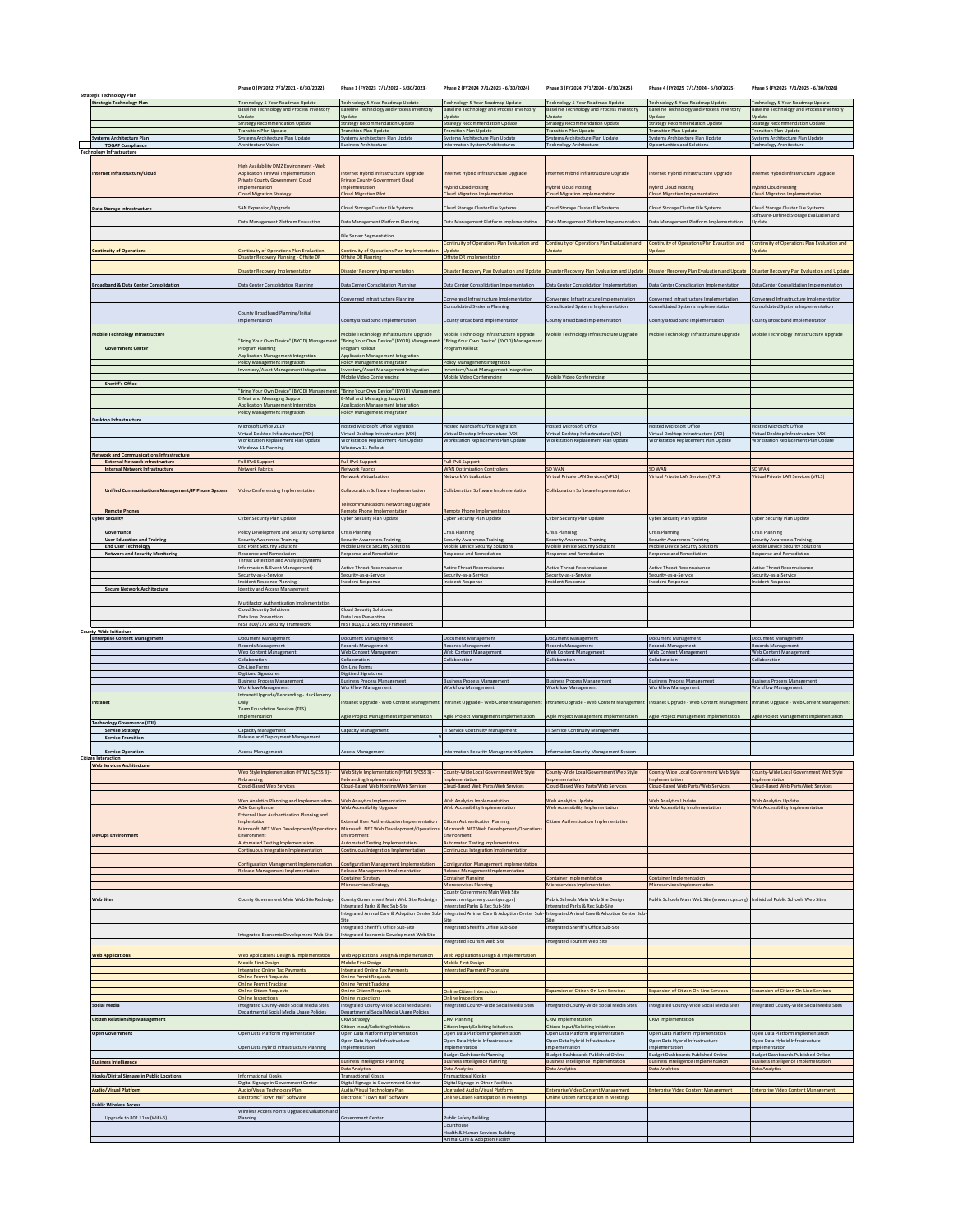| <b>Strategic Technology Plan</b>                                                           | Phase 0 (FY2022 7/1/2021 - 6/30/2022)                                                   | Phase 1 (FY2023 7/1/2022 - 6/30/2023)                                                  | Phase 2 (FY2024 7/1/2023 - 6/30/2024)                                                   | Phase 3 (FY2024 7/1/2024 - 6/30/2025)                                                   | Phase 4 (FY2025 7/1/2024 - 6/30/2025)                                                   | Phase 5 (FY2025 7/1/2025 - 6/30/2026)                                                               |
|--------------------------------------------------------------------------------------------|-----------------------------------------------------------------------------------------|----------------------------------------------------------------------------------------|-----------------------------------------------------------------------------------------|-----------------------------------------------------------------------------------------|-----------------------------------------------------------------------------------------|-----------------------------------------------------------------------------------------------------|
| <b>Strategic Technology Plan</b>                                                           | Technology 5-Year Roadmap Update<br>laseline Technology and Process Inventory<br>Update | Fechnology 5-Year Roadmap Update<br>laseline Technology and Process Inventory<br>pdate | Technology 5-Year Roadmap Update<br>Baseline Technology and Process Inventory<br>Update | Technology 5-Year Roadmap Update<br>Baseline Technology and Process Inventory<br>Update | Technology 5-Year Roadmap Update<br>saseline Technology and Process Inventory<br>Jpdate | Technology 5-Year Roadmap Update<br>Baseline Technology and Process Inventory<br>Update             |
|                                                                                            | Strategy Recommendation Update<br><b>Transition Plan Update</b>                         | Strategy Recommendation Update<br><b>Fransition Plan Update</b>                        | Strategy Recommendation Update<br><b>Transition Plan Update</b>                         | Strategy Recommendation Update<br><b>Transition Plan Update</b>                         | Strategy Recommendation Update<br><b>Transition Plan Update</b>                         | Strategy Recommendation Update                                                                      |
| <b>Systems Architecture Plan</b><br><b>TOGAF Compliance</b>                                | Systems Architecture Plan Update<br>Architecture Vision                                 | Systems Architecture Plan Update<br><b>Business Architecture</b>                       | Systems Architecture Plan Update<br><b>Information System Architectures</b>             | Systems Architecture Plan Update<br><b>Technology Architecture</b>                      | Systems Architecture Plan Update<br>Opportunities and Solutions                         | <b>Transition Plan Update</b><br>Systems Architecture Plan Update<br><b>Technology Architecture</b> |
| <b>Technology Infrastructure</b>                                                           |                                                                                         |                                                                                        |                                                                                         |                                                                                         |                                                                                         |                                                                                                     |
| Internet Infrastructure/Cloud                                                              | <b>High Availability DMZ Environment - Web</b><br>Application Firewall Implementation   | Internet Hybrid Infrastructure Upgrade                                                 | Internet Hybrid Infrastructure Upgrade                                                  | Internet Hybrid Infrastructure Upgrade                                                  | Internet Hybrid Infrastructure Upgrade                                                  | Internet Hybrid Infrastructure Upgrade                                                              |
|                                                                                            | Private County Government Cloud<br>mplementation                                        | Private County Government Cloud<br>mplementation                                       | <b>Hybrid Cloud Hosting</b>                                                             | <b>Hybrid Cloud Hosting</b>                                                             | <b>lybrid Cloud Hosting</b>                                                             | <b>Hybrid Cloud Hosting</b>                                                                         |
|                                                                                            | <b>Cloud Migration Strategy</b>                                                         | <b>Cloud Migration Pilot</b>                                                           | Cloud Migration Implementation                                                          | Cloud Migration Implementation                                                          | Cloud Migration Implementation                                                          | Cloud Migration Implementation                                                                      |
| Data Storage Infrastructure                                                                | AN Expansion/Upgrade                                                                    | loud Storage Cluster File Systems                                                      | Cloud Storage Cluster File Systems                                                      | Cloud Storage Cluster File Systems                                                      | <b>Cloud Storage Cluster File Systems</b>                                               | Cloud Storage Cluster File Systems<br>Software-Defined Storage Evaluation and                       |
|                                                                                            | Data Management Platform Evaluation                                                     | Oata Management Platform Planning                                                      | Data Management Platform Implementation                                                 | Data Management Platform Implementation                                                 | Data Management Platform Implementation                                                 | Update                                                                                              |
|                                                                                            |                                                                                         | File Server Segmentation                                                               |                                                                                         |                                                                                         |                                                                                         |                                                                                                     |
| <b>Continuity of Operations</b>                                                            | ontinuity of Operations Plan Evaluation                                                 | <b>Continuity of Operations Plan Implementation</b>                                    | Continuity of Operations Plan Evaluation and<br>Update                                  | Continuity of Operations Plan Evaluation and<br>Update                                  | Continuity of Operations Plan Evaluation and<br>Ipdate                                  | Continuity of Operations Plan Evaluation and<br>Update                                              |
|                                                                                            | Disaster Recovery Planning - Offsite DR                                                 | Offsite DR Planning                                                                    | Offsite DR Implementation                                                               |                                                                                         |                                                                                         |                                                                                                     |
|                                                                                            | isaster Recovery Implementation                                                         | isaster Recovery Implementation                                                        | Disaster Recovery Plan Evaluation and Update                                            | Disaster Recovery Plan Evaluation and Update                                            | Disaster Recovery Plan Evaluation and Update                                            | Disaster Recovery Plan Evaluation and Update                                                        |
| <b>Broadband &amp; Data Center Consolidation</b>                                           | ata Center Consolidation Planning                                                       | Data Center Consolidation Planning                                                     | Data Center Consolidation Implementation                                                | Data Center Consolidation Implementation                                                | ata Center Consolidation Implementation                                                 | Data Center Consolidation Implementation                                                            |
|                                                                                            |                                                                                         | onverged Infrastructure Planning                                                       | Converged Infrastructure Implementation                                                 | onverged Infrastructure Implementation                                                  | Converged Infrastructure Implementation                                                 | Converged Infrastructure Implementation                                                             |
|                                                                                            | County Broadband Planning/Initial                                                       |                                                                                        | <b>Consolidated Systems Planning</b>                                                    | Consolidated Systems Implementation                                                     | Consolidated Systems Implementation                                                     | Consolidated Systems Implementation                                                                 |
|                                                                                            | mplementation                                                                           | ounty Broadband Implementation                                                         | County Broadband Implementation                                                         | ounty Broadband Implementation                                                          | County Broadband Implementation                                                         | County Broadband Implementation                                                                     |
| <b>Mobile Technology Infrastructure</b>                                                    |                                                                                         | Aobile Technology Infrastructure Upgrade                                               | Mobile Technology Infrastructure Upgrade                                                | Aobile Technology Infrastructure Upgrade                                                | Mobile Technology Infrastructure Upgrade                                                | Mobile Technology Infrastructure Upgrade                                                            |
| <b>Government Center</b>                                                                   | "Bring Your Own Device" (BYOD) Management<br>Program Planning                           | Bring Your Own Device" (BYOD) Management<br>rogram Rollout                             | "Bring Your Own Device" (BYOD) Managemen<br>Program Rollout                             |                                                                                         |                                                                                         |                                                                                                     |
|                                                                                            | Application Management Integration<br>Policy Management Integration                     | Application Management Integration<br>olicy Management Integration                     | Policy Management Integration                                                           |                                                                                         |                                                                                         |                                                                                                     |
|                                                                                            | Inventory/Asset Management Integration                                                  | Inventory/Asset Management Integration<br>Mobile Video Conferencing                    | Inventory/Asset Management Integration<br>Mobile Video Conferencing                     | Mobile Video Conferencing                                                               |                                                                                         |                                                                                                     |
| <b>Sheriff's Office</b>                                                                    |                                                                                         |                                                                                        |                                                                                         |                                                                                         |                                                                                         |                                                                                                     |
|                                                                                            | "Bring Your Own Device" (BYOD) Manag<br>E-Mail and Messaging Support                    | 'Bring Your Own Device" (BYOD) Management<br>-Mail and Messaging Support               |                                                                                         |                                                                                         |                                                                                         |                                                                                                     |
|                                                                                            | Application Management Integration<br>Policy Management Integration                     | Application Management Integration<br>Policy Management Integration                    |                                                                                         |                                                                                         |                                                                                         |                                                                                                     |
| Desktop Infrastructure                                                                     | Microsoft Office 2019                                                                   | losted Microsoft Office Migration                                                      | <b>Hosted Microsoft Office Migration</b>                                                | <b>Hosted Microsoft Office</b>                                                          | losted Microsoft Office                                                                 | <b>Hosted Microsoft Office</b>                                                                      |
|                                                                                            | /irtual Desktop Infrastructure (VDI)                                                    | Firtual Desktop Infrastructure (VDI)                                                   | Virtual Desktop Infrastructure (VDI)<br>Workstation Replacement Plan Update             | Virtual Desktop Infrastructure (VDI)                                                    | /irtual Desktop Infrastructure (VDI)                                                    | Virtual Desktop Infrastructure (VDI)                                                                |
|                                                                                            | <b>Norkstation Replacement Plan Update</b><br><b>/indows 11 Planning</b>                | Vorkstation Replacement Plan Update<br>indows 11 Rollou                                |                                                                                         | Workstation Replacement Plan Update                                                     | <b>Workstation Replacement Plan Update</b>                                              | Workstation Replacement Plan Update                                                                 |
| <b>Network and Communications Infrastructure</b><br><b>External Network Infrastructure</b> | Full IPv6 Support                                                                       | ull IPv6 Support                                                                       | Full IPv6 Support                                                                       |                                                                                         |                                                                                         |                                                                                                     |
| Internal Network Infrastructure                                                            | <b>Network Fabrics</b>                                                                  | Network Fabrics<br>Network Virtualization                                              | <b>WAN Optimization Controllers</b><br>Network Virtualization                           | SD WAN<br>Virtual Private LAN Services (VPLS)                                           | <b>SD WAN</b><br>Virtual Private LAN Services (VPLS                                     | <b>SD WAN</b><br>Virtual Private LAN Services (VPLS)                                                |
| <b>Unified Communications Management/IP Phone System</b>                                   | Video Conferencing Implementation                                                       | Collaboration Software Implementation                                                  | Collaboration Software Implementation                                                   | Collaboration Software Implementation                                                   |                                                                                         |                                                                                                     |
|                                                                                            |                                                                                         | elecommunications Networking Upgrade                                                   |                                                                                         |                                                                                         |                                                                                         |                                                                                                     |
| <b>Remote Phones</b>                                                                       |                                                                                         | Remote Phone Implementation                                                            | Remote Phone Implementation                                                             |                                                                                         |                                                                                         |                                                                                                     |
| <b>Cyber Security</b>                                                                      | Cyber Security Plan Update                                                              | Cyber Security Plan Update                                                             | Cyber Security Plan Update                                                              | Cyber Security Plan Update                                                              | Cyber Security Plan Update                                                              | Cyber Security Plan Update                                                                          |
| Governance<br><b>User Education and Training</b>                                           | Olicy Development and Security Compliance<br>Security Awareness Training                | <b>Crisis Planning</b><br>Security Awareness Training                                  | <b>Crisis Planning</b><br>Security Awareness Training                                   | Crisis Planning<br>Security Awareness Training                                          | <b>Crisis Planning</b><br>Security Awareness Training                                   | Crisis Planning<br>Security Awareness Training                                                      |
| <b>End User Technology</b><br><b>Network and Security Monitoring</b>                       | <b>End Point Security Solutions</b><br>Response and Remediation                         | Mobile Device Security Solutions<br>lesponse and Remediation                           | Mobile Device Security Solutions<br>Response and Remediation                            | Mobile Device Security Solutions<br>Response and Remediation                            | Mobile Device Security Solutions<br>Response and Remediation                            | Mobile Device Security Solutions<br>Response and Remediation                                        |
|                                                                                            | <b>Threat Detection and Analysis (Systems)</b>                                          | ctive Threat Reconnaisance                                                             | Active Threat Reconnaisance                                                             | Active Threat Reconnaisance                                                             | Active Threat Reconnaisance                                                             | Active Threat Reconnaisance                                                                         |
|                                                                                            | nformation & Event Management)<br>Security-as-a-Service                                 | Security-as-a-Service                                                                  | Security-as-a-Service                                                                   | Security-as-a-Service                                                                   | Security-as-a-Service                                                                   | Security-as-a-Service                                                                               |
| <b>Secure Network Architecture</b>                                                         | ncident Response Planning<br>dentity and Access Management                              | ncident Response                                                                       | Incident Response                                                                       | Incident Response                                                                       | Incident Response                                                                       | Incident Response                                                                                   |
|                                                                                            | Aultifactor Authentication Implementation                                               |                                                                                        |                                                                                         |                                                                                         |                                                                                         |                                                                                                     |
|                                                                                            | Cloud Security Solutions<br>Data Loss Prevention                                        | Cloud Security Solutions<br>Data Loss Prevention                                       |                                                                                         |                                                                                         |                                                                                         |                                                                                                     |
|                                                                                            |                                                                                         |                                                                                        |                                                                                         |                                                                                         |                                                                                         |                                                                                                     |
|                                                                                            | NIST 800/171 Security Framework                                                         | NIST 800/171 Security Framework                                                        |                                                                                         |                                                                                         |                                                                                         |                                                                                                     |
| <b>County-Wide Initiatives</b><br><b>Enterprise Content Management</b>                     | Document Management                                                                     | Document Management                                                                    | Document Management                                                                     | Document Management                                                                     | Document Management                                                                     | Document Management                                                                                 |
|                                                                                            | Records Management<br>Web Content Management                                            | Records Management<br><b>Neb Content Management</b>                                    | Records Management<br>Web Content Management                                            | Records Management<br>Web Content Management                                            | Records Management<br>Web Content Management                                            | Records Management<br>Web Content Management                                                        |
|                                                                                            | Collaboration<br>On-Line Form:                                                          | cllaboration<br>In-Line Forms                                                          | Collaboration                                                                           | Collaboration                                                                           | Collaboration                                                                           | Collaboration                                                                                       |
|                                                                                            | Digitized Signatures<br>Business Process Management                                     | Digitized Signatures<br>lusiness Process Management                                    | <b>Business Process Management</b>                                                      | <b>Business Process Management</b>                                                      | <b>Business Process Management</b>                                                      | <b>Business Process Management</b>                                                                  |
|                                                                                            | <b>Norkflow Management</b><br>tranet Upgrade/Rebranding - Huckleberry                   | Vorkflow Management                                                                    | Workflow Manageme                                                                       | <b>Norkflow Managemer</b>                                                               | <b>Norkflow Management</b>                                                              | Workflow Managemen                                                                                  |
| Intranet                                                                                   | yis.<br>eam Foundation Services (TFS)                                                   | ntranet Upgrade - Web Content Manager                                                  | Intranet Upgrade - Web Content Managen                                                  | ntranet Upgrade - Web Content Management                                                | Intranet Upgrade - Web Content Manager                                                  |                                                                                                     |
|                                                                                            | nplementation                                                                           | gile Project Management Implementati                                                   | Agile Project Management Implementatio                                                  | gile Project Management Implementation                                                  | gile Project Management Impl                                                            | Agile Project Management Implementati                                                               |
| <b>Technology Governance (ITIL)</b><br><b>Service Strategy</b>                             | Capacity Management                                                                     | <b>Capacity Management</b>                                                             | IT Service Continuity Management                                                        | IT Service Continuity Management                                                        |                                                                                         |                                                                                                     |
| <b>Service Transition</b>                                                                  | Release and Deployment Management                                                       |                                                                                        |                                                                                         |                                                                                         |                                                                                         |                                                                                                     |
| <b>Service Operation</b><br><b>Citizen Interaction</b>                                     | <b>Access Management</b>                                                                | <b>Access Management</b>                                                               | Information Security Management System                                                  | Information Security Management System                                                  |                                                                                         |                                                                                                     |
| <b>Web Services Architecture</b>                                                           | <b>Neb Style Implementation (HTML 5/CSS 3)</b>                                          | Web Style Im                                                                           |                                                                                         |                                                                                         |                                                                                         |                                                                                                     |
|                                                                                            | Rebranding<br>Cloud-Based Web Services                                                  | Rebranding Implementation<br>Cloud-Based Web Hosting/Web Services                      | Implementation<br>Cloud-Based Web Parts/Web Services                                    | Implementation<br>Cloud-Based Web Parts/Web Services                                    | Implementation<br>Cloud-Based Web Parts/Web Services                                    | Implementation<br>Cloud-Based Web Parts/Web Services                                                |
|                                                                                            |                                                                                         |                                                                                        |                                                                                         |                                                                                         |                                                                                         |                                                                                                     |
|                                                                                            | Web Analytics Planning and Implementation<br>ADA Compliance                             | Web Analytics Implementation<br>Web Accessibility Upgrade                              | Web Analytics Implementation<br>Web Accessibility Implementation                        | Web Analytics Update<br>Web Accessibility Implementation                                | <b>Web Analytics Update</b><br>Web Accessibility Implementation                         | Web Analytics Update<br>Web Accessibility Implementation                                            |
|                                                                                            | External User Authentication Planning and<br>mplentation                                | xternal User Authentication Implementation                                             | <b>Citizen Authentication Planning</b>                                                  | Citizen Authentication Implementation                                                   |                                                                                         |                                                                                                     |
| <b>DevOps Environment</b>                                                                  | Microsoft .NET Web Development/Operations<br>invironment                                | Microsoft .NET Web Development/Operations<br>invironment                               | Microsoft .NET Web Development/Operations<br>Environment                                |                                                                                         |                                                                                         |                                                                                                     |
|                                                                                            | Automated Testing Implementation<br>Continuous Integration Implementation               | <b>Automated Testing Implementation</b><br>Continuous Integration Implementation       | Automated Testing Implementation<br>Continuous Integration Implementation               |                                                                                         |                                                                                         |                                                                                                     |
|                                                                                            | onfiguration Management Implementation                                                  | <b>Configuration Management Implementation</b>                                         | Configuration Management Implementation                                                 |                                                                                         |                                                                                         |                                                                                                     |
|                                                                                            | Release Management Implementation                                                       | Release Management Implementation                                                      | Release Management Implementation                                                       |                                                                                         |                                                                                         |                                                                                                     |
|                                                                                            |                                                                                         | Container Strategy<br>Microservices Strategy                                           | <b>Container Planning</b><br>Microservices Planning                                     | Container Implementation<br>Microservices Implementation                                | Container Implementation<br>Microservices Implementation                                |                                                                                                     |
| <b>Web Sites</b>                                                                           | ounty Government Main Web Site Redesign                                                 | <b>County Government Main Web Site Redesign</b>                                        | County Government Main Web Site<br>(www.montgomerycountyva.gov)                         | ublic Schools Main Web Site Design                                                      | Public Schools Main Web Site (www.mcps.org)                                             | Individual Public Schools Web Sites                                                                 |
|                                                                                            |                                                                                         | Integrated Parks & Rec Sub-Site<br>ntegrated Animal Care & Adoption Center Sub         | Integrated Parks & Rec Sub-Site<br>Integrated Animal Care & Adoption Center Sub         | Integrated Parks & Rec Sub-Site<br>Integrated Animal Care & Adoption Center Sub         |                                                                                         |                                                                                                     |
|                                                                                            |                                                                                         | a 63<br>Integrated Sheriff's Office Sub-Site                                           | Site<br>Integrated Sheriff's Office Sub-Site                                            | Integrated Sheriff's Office Sub-Site                                                    |                                                                                         |                                                                                                     |
|                                                                                            | Integrated Economic Development Web Site                                                | Integrated Economic Development Web Site                                               |                                                                                         |                                                                                         |                                                                                         |                                                                                                     |
| <b>Web Application</b>                                                                     |                                                                                         |                                                                                        | Integrated Tourism Web Site                                                             | Integrated Tourism Web Site                                                             |                                                                                         |                                                                                                     |
|                                                                                            | Veb Applications Design & Implementation<br>Mobile First Design                         | Veb Applications Design & Implementatio<br><b>Mobile First Design</b>                  | Web Applications Design & Implementati<br>Mobile First Design                           |                                                                                         |                                                                                         |                                                                                                     |
|                                                                                            | Integrated Online Tax Payments<br><b>Online Permit Requests</b>                         | ntegrated Online Tax Payments<br>Inline Permit Requests                                | <b>Integrated Payment Processing</b>                                                    |                                                                                         |                                                                                         |                                                                                                     |
|                                                                                            | <b>Inline Permit Tracking</b><br><b>Online Citizen Requests</b>                         | nline Permit Tracking<br>Inline Citizen Requests                                       | <b>Online Citizen Interaction</b>                                                       | <b>Expansion of Citizen On-Line Services</b>                                            | Expansion of Citizen On-Line Services                                                   | <b>Expansion of Citizen On-Line Services</b>                                                        |
| Social Media                                                                               | Inline Inspections<br>ntegrated County-Wide Social Media Sites                          | nline Inspections<br>ntegrated County-Wide Social Media Sites                          | <b>Online Inspections</b><br>Integrated County-Wide Social Media Sites                  | Integrated County-Wide Social Media Sites                                               | ntegrated County-Wide Social Media Sites                                                | Integrated County-Wide Social Media Sites                                                           |
|                                                                                            | Departmental Social Media Usage Policies                                                | Departmental Social Media Usage Policies                                               |                                                                                         |                                                                                         |                                                                                         |                                                                                                     |
| <b>Citizen Relationship Management</b>                                                     |                                                                                         | <b>CRM Strategy</b><br>Citizen Input/Soliciting Initiatives                            | <b>CRM Planning</b><br>Citizen Input/Soliciting Initiatives                             | CRM Implementation<br>Citizen Input/Soliciting Initiatives                              | <b>ERM</b> Implementation                                                               |                                                                                                     |
| <b>Open Government</b>                                                                     | Open Data Platform Implementation                                                       | Open Data Platform Implementation<br>Open Data Hybrid Infrastructure                   | Open Data Platform Implementation<br>Open Data Hybrid Infrastructure                    | Open Data Platform Implementation<br>Open Data Hybrid Infrastructure                    | Open Data Platform Implementation<br>Open Data Hybrid Infrastructure                    | Open Data Platform Implementation<br>Open Data Hybrid Infrastructure                                |
|                                                                                            | Open Data Hybrid Infrastructure Planning                                                | Implementation                                                                         | Implementation<br><b>Budget Dashboards Planning</b>                                     | Implementation<br><b>Budget Dashboards Published Online</b>                             | mplementation<br><b>Budget Dashboards Published Online</b>                              | Implementation<br><b>Budget Dashboards Published Online</b>                                         |
| <b>Business Intelligence</b>                                                               |                                                                                         | <b>Business Intelligence Planning</b><br>Data Analytics                                | <b>Business Intelligence Planning</b><br><b>Data Analytics</b>                          | Business Intelligence Implementation<br><b>Data Analytics</b>                           | Business Intelligence Implementation<br>Data Analytics                                  | <b>Business Intelligence Implementation</b><br><b>Data Analytics</b>                                |
| Kiosks/Digital Signage in Public Locations                                                 | <b>Informational Kiosks</b>                                                             | <b>Transactional Kiosks</b>                                                            | <b>Transactional Kiosks</b>                                                             |                                                                                         |                                                                                         |                                                                                                     |
| <b>Audio/Visual Platform</b>                                                               | Digital Signage in Government Center<br>udio/Visual Technology Plan                     | Digital Signage in Government Center<br>Audio/Visual Technology Plan                   | Digital Signage in Other Facilities<br>Upgraded Audio/Visual Platform                   | <b>Enterprise Video Content Management</b>                                              | <b>Enterprise Video Content Management</b>                                              | <b>Enterprise Video Content Management</b>                                                          |
| <b>Public Wireless Access</b>                                                              | <b>Electronic "Town Hall" Software</b>                                                  | Electronic "Town Hall" Software                                                        | <b>Online Citizen Participation in Meetings</b>                                         | Online Citizen Participation in Meetings                                                |                                                                                         |                                                                                                     |
| Upgrade to 802.11ax (WiFi-6)                                                               | Wireless Access Points Upgrade Evaluation and<br>lanning                                | overnment Center                                                                       | <b>Public Safety Building</b>                                                           |                                                                                         |                                                                                         |                                                                                                     |
|                                                                                            |                                                                                         |                                                                                        | Courthouse<br>Health & Human Services Building<br>Animal Care & Adoption Facility       |                                                                                         |                                                                                         | Intranet Upgrade - Web Content Managemen                                                            |